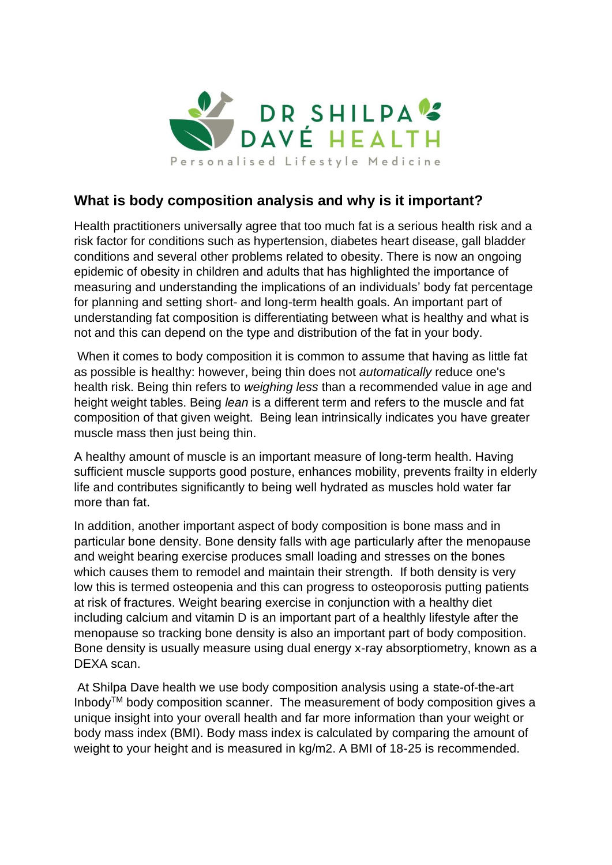

## **What is body composition analysis and why is it important?**

Health practitioners universally agree that too much fat is a serious health risk and a risk factor for conditions such as hypertension, diabetes heart disease, gall bladder conditions and several other problems related to obesity. There is now an ongoing epidemic of obesity in children and adults that has highlighted the importance of measuring and understanding the implications of an individuals' body fat percentage for planning and setting short- and long-term health goals. An important part of understanding fat composition is differentiating between what is healthy and what is not and this can depend on the type and distribution of the fat in your body.

When it comes to body composition it is common to assume that having as little fat as possible is healthy: however, being thin does not *automatically* reduce one's health risk. Being thin refers to *weighing less* than a recommended value in age and height weight tables. Being *lean* is a different term and refers to the muscle and fat composition of that given weight. Being lean intrinsically indicates you have greater muscle mass then just being thin.

A healthy amount of muscle is an important measure of long-term health. Having sufficient muscle supports good posture, enhances mobility, prevents frailty in elderly life and contributes significantly to being well hydrated as muscles hold water far more than fat.

In addition, another important aspect of body composition is bone mass and in particular bone density. Bone density falls with age particularly after the menopause and weight bearing exercise produces small loading and stresses on the bones which causes them to remodel and maintain their strength. If both density is very low this is termed osteopenia and this can progress to osteoporosis putting patients at risk of fractures. Weight bearing exercise in conjunction with a healthy diet including calcium and vitamin D is an important part of a healthly lifestyle after the menopause so tracking bone density is also an important part of body composition. Bone density is usually measure using dual energy x-ray absorptiometry, known as a DEXA scan.

At Shilpa Dave health we use body composition analysis using a state-of-the-art InbodyTM body composition scanner. The measurement of body composition gives a unique insight into your overall health and far more information than your weight or body mass index (BMI). Body mass index is calculated by comparing the amount of weight to your height and is measured in kg/m2. A BMI of 18-25 is recommended.